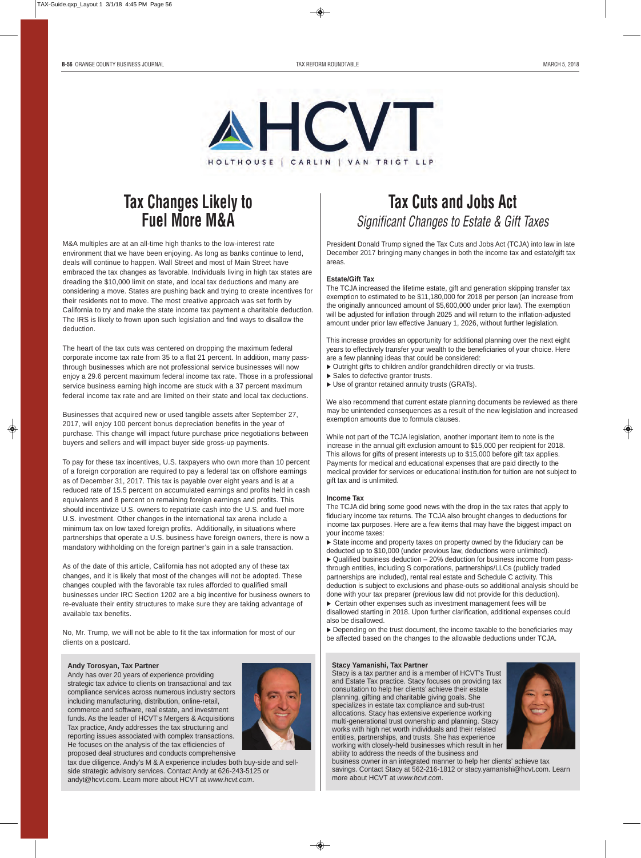

# **Tax Changes Likely to Fuel More M&A**

M&A multiples are at an all-time high thanks to the low-interest rate environment that we have been enjoying. As long as banks continue to lend, deals will continue to happen. Wall Street and most of Main Street have embraced the tax changes as favorable. Individuals living in high tax states are dreading the \$10,000 limit on state, and local tax deductions and many are considering a move. States are pushing back and trying to create incentives for their residents not to move. The most creative approach was set forth by California to try and make the state income tax payment a charitable deduction. The IRS is likely to frown upon such legislation and find ways to disallow the deduction.

The heart of the tax cuts was centered on dropping the maximum federal corporate income tax rate from 35 to a flat 21 percent. In addition, many passthrough businesses which are not professional service businesses will now enjoy a 29.6 percent maximum federal income tax rate. Those in a professional service business earning high income are stuck with a 37 percent maximum federal income tax rate and are limited on their state and local tax deductions.

Businesses that acquired new or used tangible assets after September 27, 2017, will enjoy 100 percent bonus depreciation benefits in the year of purchase. This change will impact future purchase price negotiations between buyers and sellers and will impact buyer side gross-up payments.

To pay for these tax incentives, U.S. taxpayers who own more than 10 percent of a foreign corporation are required to pay a federal tax on offshore earnings as of December 31, 2017. This tax is payable over eight years and is at a reduced rate of 15.5 percent on accumulated earnings and profits held in cash equivalents and 8 percent on remaining foreign earnings and profits. This should incentivize U.S. owners to repatriate cash into the U.S. and fuel more U.S. investment. Other changes in the international tax arena include a minimum tax on low taxed foreign profits. Additionally, in situations where partnerships that operate a U.S. business have foreign owners, there is now a mandatory withholding on the foreign partner's gain in a sale transaction.

As of the date of this article, California has not adopted any of these tax changes, and it is likely that most of the changes will not be adopted. These changes coupled with the favorable tax rules afforded to qualified small businesses under IRC Section 1202 are a big incentive for business owners to re-evaluate their entity structures to make sure they are taking advantage of available tax benefits.

No, Mr. Trump, we will not be able to fit the tax information for most of our clients on a postcard.

#### **Andy Torosyan, Tax Partner**

Andy has over 20 years of experience providing strategic tax advice to clients on transactional and tax compliance services across numerous industry sectors including manufacturing, distribution, online-retail, commerce and software, real estate, and investment funds. As the leader of HCVT's Mergers & Acquisitions Tax practice, Andy addresses the tax structuring and reporting issues associated with complex transactions. He focuses on the analysis of the tax efficiencies of proposed deal structures and conducts comprehensive



tax due diligence. Andy's M & A experience includes both buy-side and sellside strategic advisory services. Contact Andy at 626-243-5125 or andyt@hcvt.com. Learn more about HCVT at *www.hcvt.com*.

# **Tax Cuts and Jobs Act**  *Significant Changes to Estate & Gift Taxes*

President Donald Trump signed the Tax Cuts and Jobs Act (TCJA) into law in late December 2017 bringing many changes in both the income tax and estate/gift tax areas.

### **Estate/Gift Tax**

The TCJA increased the lifetime estate, gift and generation skipping transfer tax exemption to estimated to be \$11,180,000 for 2018 per person (an increase from the originally announced amount of \$5,600,000 under prior law). The exemption will be adjusted for inflation through 2025 and will return to the inflation-adjusted amount under prior law effective January 1, 2026, without further legislation.

This increase provides an opportunity for additional planning over the next eight years to effectively transfer your wealth to the beneficiaries of your choice. Here are a few planning ideas that could be considered:

- $\triangleright$  Outright gifts to children and/or grandchildren directly or via trusts.
- $\triangleright$  Sales to defective grantor trusts.
- $\blacktriangleright$  Use of grantor retained annuity trusts (GRATs).

We also recommend that current estate planning documents be reviewed as there may be unintended consequences as a result of the new legislation and increased exemption amounts due to formula clauses.

While not part of the TCJA legislation, another important item to note is the increase in the annual gift exclusion amount to \$15,000 per recipient for 2018. This allows for gifts of present interests up to \$15,000 before gift tax applies. Payments for medical and educational expenses that are paid directly to the medical provider for services or educational institution for tuition are not subject to gift tax and is unlimited.

#### **Income Tax**

The TCJA did bring some good news with the drop in the tax rates that apply to fiduciary income tax returns. The TCJA also brought changes to deductions for income tax purposes. Here are a few items that may have the biggest impact on your income taxes:

 $\triangleright$  State income and property taxes on property owned by the fiduciary can be deducted up to \$10,000 (under previous law, deductions were unlimited).  $\triangleright$  Qualified business deduction – 20% deduction for business income from passthrough entities, including S corporations, partnerships/LLCs (publicly traded partnerships are included), rental real estate and Schedule C activity. This deduction is subject to exclusions and phase-outs so additional analysis should be done with your tax preparer (previous law did not provide for this deduction).  $\triangleright$  Certain other expenses such as investment management fees will be disallowed starting in 2018. Upon further clarification, additional expenses could also be disallowed.

 $\triangleright$  Depending on the trust document, the income taxable to the beneficiaries may be affected based on the changes to the allowable deductions under TCJA.

## **Stacy Yamanishi, Tax Partner**

Stacy is a tax partner and is a member of HCVT's Trust and Estate Tax practice. Stacy focuses on providing tax consultation to help her clients' achieve their estate planning, gifting and charitable giving goals. She specializes in estate tax compliance and sub-trust allocations. Stacy has extensive experience working multi-generational trust ownership and planning. Stacy works with high net worth individuals and their related entities, partnerships, and trusts. She has experience working with closely-held businesses which result in her ability to address the needs of the business and



business owner in an integrated manner to help her clients' achieve tax savings. Contact Stacy at 562-216-1812 or stacy.yamanishi@hcvt.com. Learn more about HCVT at *www.hcvt.com*.